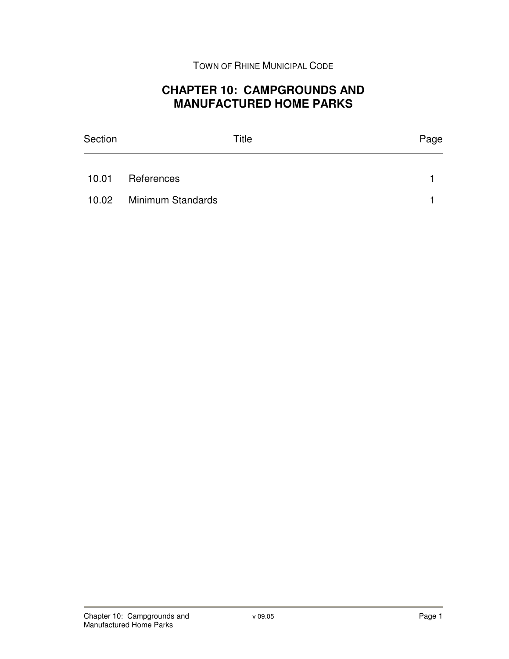TOWN OF RHINE MUNICIPAL CODE

## **CHAPTER 10: CAMPGROUNDS AND MANUFACTURED HOME PARKS**

| Section | Title                   | Page |
|---------|-------------------------|------|
|         | 10.01 References        |      |
|         | 10.02 Minimum Standards |      |